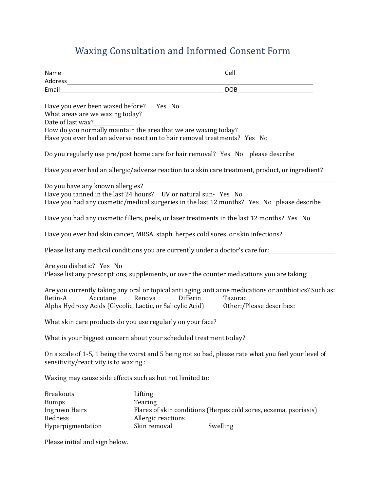## Waxing Consultation and Informed Consent Form

|                                                                              |                    | Email DOB                                                                                                                                           |  |  |
|------------------------------------------------------------------------------|--------------------|-----------------------------------------------------------------------------------------------------------------------------------------------------|--|--|
| Have you ever been waxed before?<br>What areas are we waxing today?_________ | Yes No             |                                                                                                                                                     |  |  |
| Date of last wax?                                                            |                    |                                                                                                                                                     |  |  |
|                                                                              |                    | How do you normally maintain the area that we are waxing today?<br>Have you ever had an adverse reaction to hair removal treatments? Yes No _______ |  |  |
|                                                                              |                    |                                                                                                                                                     |  |  |
|                                                                              |                    | Do you regularly use pre/post home care for hair removal? Yes No please describe_______                                                             |  |  |
|                                                                              |                    | Have you ever had an allergic/adverse reaction to a skin care treatment, product, or ingredient?                                                    |  |  |
|                                                                              |                    |                                                                                                                                                     |  |  |
| Have you tanned in the last 24 hours?    UV or natural sun- Yes No           |                    |                                                                                                                                                     |  |  |
|                                                                              |                    | Have you had any cosmetic/medical surgeries in the last 12 months? Yes No please describe                                                           |  |  |
|                                                                              |                    |                                                                                                                                                     |  |  |
|                                                                              |                    | Have you had any cosmetic fillers, peels, or laser treatments in the last 12 months? Yes No __                                                      |  |  |
|                                                                              |                    | Have you ever had skin cancer, MRSA, staph, herpes cold sores, or skin infections?                                                                  |  |  |
|                                                                              |                    |                                                                                                                                                     |  |  |
|                                                                              |                    | Please list any medical conditions you are currently under a doctor's care for:                                                                     |  |  |
|                                                                              |                    |                                                                                                                                                     |  |  |
| Are you diabetic? Yes No                                                     |                    | Please list any prescriptions, supplements, or over the counter medications you are taking:                                                         |  |  |
|                                                                              |                    | Are you currently taking any oral or topical anti aging, anti acne medications or antibiotics? Such as:                                             |  |  |
| Retin-A<br>Accutane                                                          | Renova<br>Differin | Tazorac                                                                                                                                             |  |  |
| Alpha Hydroxy Acids (Glycolic, Lactic, or Salicylic Acid)                    |                    | Other:/Please describes: _________                                                                                                                  |  |  |
|                                                                              |                    |                                                                                                                                                     |  |  |
|                                                                              |                    | What skin care products do you use regularly on your face?______________________                                                                    |  |  |
|                                                                              |                    | <u> 1980 - Andrea Britain, politik eta pro</u><br>What is your biggest concern about your scheduled treatment today?_______________                 |  |  |
|                                                                              |                    |                                                                                                                                                     |  |  |
| sensitivity/reactivity is to waxing :_                                       |                    | On a scale of 1-5, 1 being the worst and 5 being not so bad, please rate what you feel your level of                                                |  |  |
| Waxing may cause side effects such as but not limited to:                    |                    |                                                                                                                                                     |  |  |
| <b>Breakouts</b>                                                             | Lifting            |                                                                                                                                                     |  |  |
| <b>Bumps</b>                                                                 | Tearing            |                                                                                                                                                     |  |  |
| <b>Ingrown Hairs</b>                                                         |                    | Flares of skin conditions (Herpes cold sores, eczema, psoriasis)                                                                                    |  |  |
| Redness                                                                      | Allergic reactions |                                                                                                                                                     |  |  |
| Hyperpigmentation                                                            | Skin removal       | Swelling                                                                                                                                            |  |  |

Please initial and sign below.